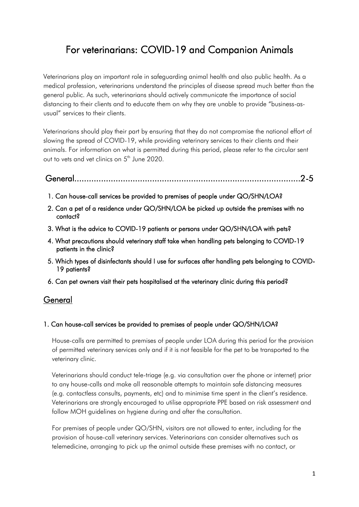# For veterinarians: COVID-19 and Companion Animals

Veterinarians play an important role in safeguarding animal health and also public health. As a medical profession, veterinarians understand the principles of disease spread much better than the general public. As such, veterinarians should actively communicate the importance of social distancing to their clients and to educate them on why they are unable to provide "business-asusual" services to their clients.

Veterinarians should play their part by ensuring that they do not compromise the national effort of slowing the spread of COVID-19, while providing veterinary services to their clients and their animals. For information on what is permitted during this period, please refer to the circular sent out to vets and vet clinics on 5<sup>th</sup> June 2020.

# General.............................................................................................2-5

- 1. Can house-call services be provided to premises of people under QO/SHN/LOA?
- 2. Can a pet of a residence under QO/SHN/LOA be picked up outside the premises with no contact?
- 3. What is the advice to COVID-19 patients or persons under QO/SHN/LOA with pets?
- 4. What precautions should veterinary staff take when handling pets belonging to COVID-19 patients in the clinic?
- 5. Which types of disinfectants should I use for surfaces after handling pets belonging to COVID-19 patients?
- 6. Can pet owners visit their pets hospitalised at the veterinary clinic during this period?

### **General**

#### 1. Can house-call services be provided to premises of people under QO/SHN/LOA?

House-calls are permitted to premises of people under LOA during this period for the provision of permitted veterinary services only and if it is not feasible for the pet to be transported to the veterinary clinic.

Veterinarians should conduct tele-triage (e.g. via consultation over the phone or internet) prior to any house-calls and make all reasonable attempts to maintain safe distancing measures (e.g. contactless consults, payments, etc) and to minimise time spent in the client's residence. Veterinarians are strongly encouraged to utilise appropriate PPE based on risk assessment and follow MOH guidelines on hygiene during and after the consultation.

For premises of people under QO/SHN, visitors are not allowed to enter, including for the provision of house-call veterinary services. Veterinarians can consider alternatives such as telemedicine, arranging to pick up the animal outside these premises with no contact, or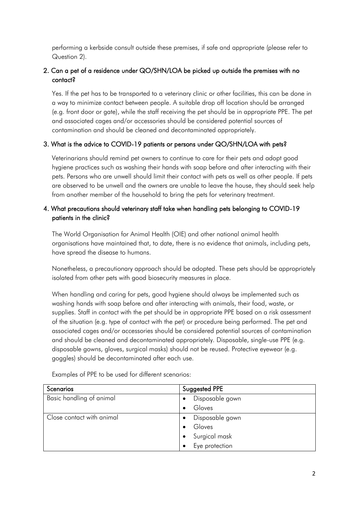performing a kerbside consult outside these premises, if safe and appropriate (please refer to Question 2).

## 2. Can a pet of a residence under QO/SHN/LOA be picked up outside the premises with no contact?

Yes. If the pet has to be transported to a veterinary clinic or other facilities, this can be done in a way to minimize contact between people. A suitable drop off location should be arranged (e.g. front door or gate), while the staff receiving the pet should be in appropriate PPE. The pet and associated cages and/or accessories should be considered potential sources of contamination and should be cleaned and decontaminated appropriately.

#### 3. What is the advice to COVID-19 patients or persons under QO/SHN/LOA with pets?

Veterinarians should remind pet owners to continue to care for their pets and adopt good hygiene practices such as washing their hands with soap before and after interacting with their pets. Persons who are unwell should limit their contact with pets as well as other people. If pets are observed to be unwell and the owners are unable to leave the house, they should seek help from another member of the household to bring the pets for veterinary treatment.

#### 4. What precautions should veterinary staff take when handling pets belonging to COVID-19 patients in the clinic?

The World Organisation for Animal Health (OIE) and other national animal health organisations have maintained that, to date, there is no evidence that animals, including pets, have spread the disease to humans.

Nonetheless, a precautionary approach should be adopted. These pets should be appropriately isolated from other pets with good biosecurity measures in place.

When handling and caring for pets, good hygiene should always be implemented such as washing hands with soap before and after interacting with animals, their food, waste, or supplies. Staff in contact with the pet should be in appropriate PPE based on a risk assessment of the situation (e.g. type of contact with the pet) or procedure being performed. The pet and associated cages and/or accessories should be considered potential sources of contamination and should be cleaned and decontaminated appropriately. Disposable, single-use PPE (e.g. disposable gowns, gloves, surgical masks) should not be reused. Protective eyewear (e.g. goggles) should be decontaminated after each use.

| Scenarios                 | Suggested PPE   |  |
|---------------------------|-----------------|--|
| Basic handling of animal  | Disposable gown |  |
|                           | Gloves          |  |
| Close contact with animal | Disposable gown |  |
|                           | Gloves          |  |
|                           | Surgical mask   |  |
|                           | Eye protection  |  |

Examples of PPE to be used for different scenarios: